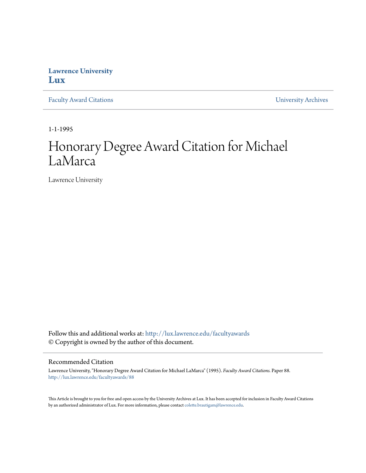## **Lawrence University [Lux](http://lux.lawrence.edu?utm_source=lux.lawrence.edu%2Ffacultyawards%2F88&utm_medium=PDF&utm_campaign=PDFCoverPages)**

[Faculty Award Citations](http://lux.lawrence.edu/facultyawards?utm_source=lux.lawrence.edu%2Ffacultyawards%2F88&utm_medium=PDF&utm_campaign=PDFCoverPages) **Example 2018** [University Archives](http://lux.lawrence.edu/archives?utm_source=lux.lawrence.edu%2Ffacultyawards%2F88&utm_medium=PDF&utm_campaign=PDFCoverPages)

1-1-1995

# Honorary Degree Award Citation for Michael LaMarca

Lawrence University

Follow this and additional works at: [http://lux.lawrence.edu/facultyawards](http://lux.lawrence.edu/facultyawards?utm_source=lux.lawrence.edu%2Ffacultyawards%2F88&utm_medium=PDF&utm_campaign=PDFCoverPages) © Copyright is owned by the author of this document.

#### Recommended Citation

Lawrence University, "Honorary Degree Award Citation for Michael LaMarca" (1995). *Faculty Award Citations.* Paper 88. [http://lux.lawrence.edu/facultyawards/88](http://lux.lawrence.edu/facultyawards/88?utm_source=lux.lawrence.edu%2Ffacultyawards%2F88&utm_medium=PDF&utm_campaign=PDFCoverPages)

This Article is brought to you for free and open access by the University Archives at Lux. It has been accepted for inclusion in Faculty Award Citations by an authorized administrator of Lux. For more information, please contact [colette.brautigam@lawrence.edu](mailto:colette.brautigam@lawrence.edu).